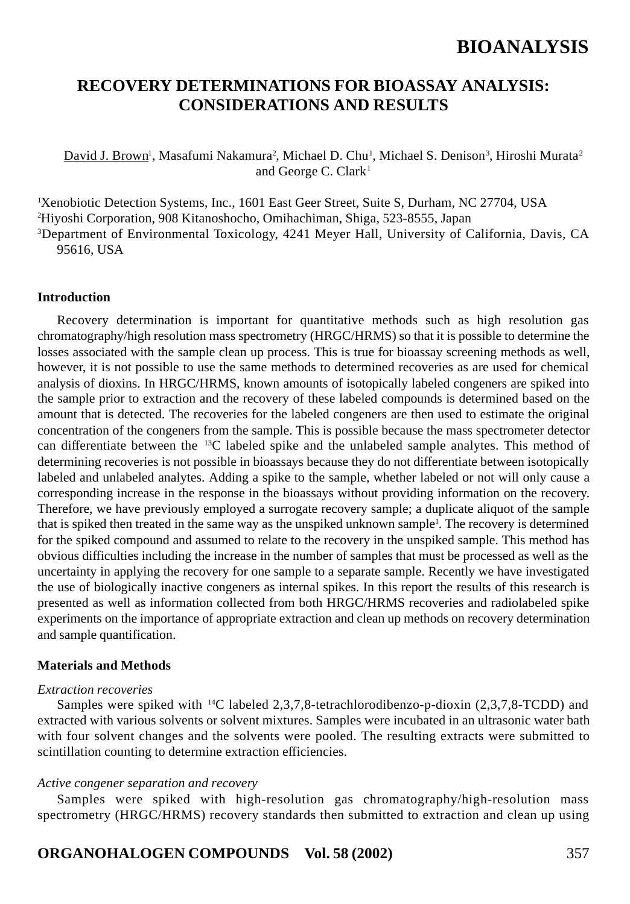### **RECOVERY DETERMINATIONS FOR BIOASSAY ANALYSIS: CONSIDERATIONS AND RESULTS**

David J. Brown<sup>1</sup>, Masafumi Nakamura<sup>2</sup>, Michael D. Chu<sup>1</sup>, Michael S. Denison<sup>3</sup>, Hiroshi Murata<sup>2</sup> and George C.  $Clark<sup>1</sup>$ 

1 Xenobiotic Detection Systems, Inc., 1601 East Geer Street, Suite S, Durham, NC 27704, USA 2 Hiyoshi Corporation, 908 Kitanoshocho, Omihachiman, Shiga, 523-8555, Japan 3Department of Environmental Toxicology, 4241 Meyer Hall, University of California, Davis, CA 95616, USA

#### **Introduction**

Recovery determination is important for quantitative methods such as high resolution gas chromatography/high resolution mass spectrometry (HRGC/HRMS) so that it is possible to determine the losses associated with the sample clean up process. This is true for bioassay screening methods as well, however, it is not possible to use the same methods to determined recoveries as are used for chemical analysis of dioxins. In HRGC/HRMS, known amounts of isotopically labeled congeners are spiked into the sample prior to extraction and the recovery of these labeled compounds is determined based on the amount that is detected. The recoveries for the labeled congeners are then used to estimate the original concentration of the congeners from the sample. This is possible because the mass spectrometer detector can differentiate between the 13C labeled spike and the unlabeled sample analytes. This method of determining recoveries is not possible in bioassays because they do not differentiate between isotopically labeled and unlabeled analytes. Adding a spike to the sample, whether labeled or not will only cause a corresponding increase in the response in the bioassays without providing information on the recovery. Therefore, we have previously employed a surrogate recovery sample; a duplicate aliquot of the sample that is spiked then treated in the same way as the unspiked unknown sample<sup>1</sup>. The recovery is determined for the spiked compound and assumed to relate to the recovery in the unspiked sample. This method has obvious difficulties including the increase in the number of samples that must be processed as well as the uncertainty in applying the recovery for one sample to a separate sample. Recently we have investigated the use of biologically inactive congeners as internal spikes. In this report the results of this research is presented as well as information collected from both HRGC/HRMS recoveries and radiolabeled spike experiments on the importance of appropriate extraction and clean up methods on recovery determination and sample quantification.

#### **Materials and Methods**

#### *Extraction recoveries*

Samples were spiked with 14C labeled 2,3,7,8-tetrachlorodibenzo-p-dioxin (2,3,7,8-TCDD) and extracted with various solvents or solvent mixtures. Samples were incubated in an ultrasonic water bath with four solvent changes and the solvents were pooled. The resulting extracts were submitted to scintillation counting to determine extraction efficiencies.

#### *Active congener separation and recovery*

Samples were spiked with high-resolution gas chromatography/high-resolution mass spectrometry (HRGC/HRMS) recovery standards then submitted to extraction and clean up using

### **ORGANOHALOGEN COMPOUNDS Vol. 58 (2002)** 357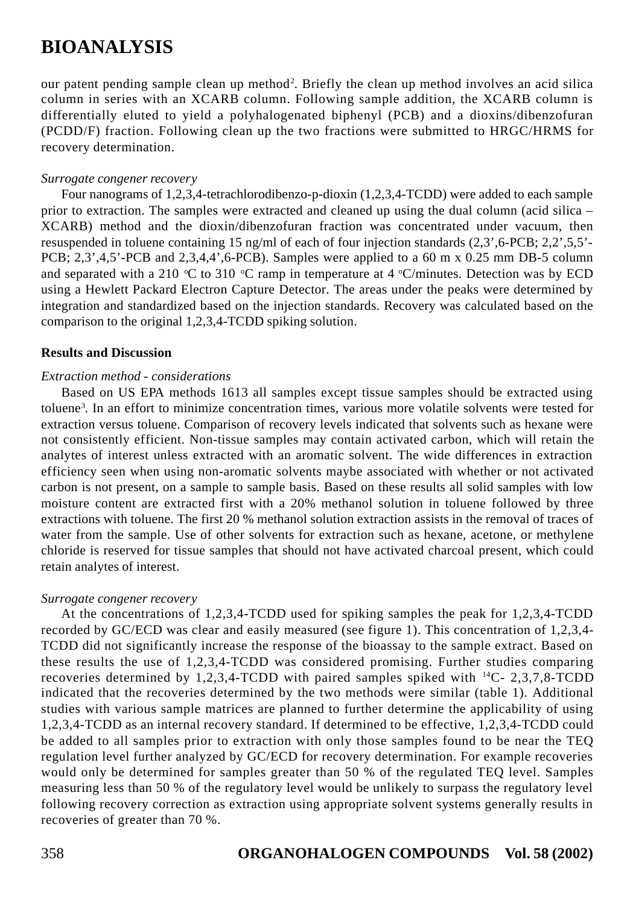our patent pending sample clean up method<sup>2</sup>. Briefly the clean up method involves an acid silica column in series with an XCARB column. Following sample addition, the XCARB column is differentially eluted to yield a polyhalogenated biphenyl (PCB) and a dioxins/dibenzofuran (PCDD/F) fraction. Following clean up the two fractions were submitted to HRGC/HRMS for recovery determination.

#### *Surrogate congener recovery*

Four nanograms of 1,2,3,4-tetrachlorodibenzo-p-dioxin (1,2,3,4-TCDD) were added to each sample prior to extraction. The samples were extracted and cleaned up using the dual column (acid silica – XCARB) method and the dioxin/dibenzofuran fraction was concentrated under vacuum, then resuspended in toluene containing 15 ng/ml of each of four injection standards (2,3',6-PCB; 2,2',5,5'- PCB; 2,3',4,5'-PCB and 2,3,4,4',6-PCB). Samples were applied to a 60 m x 0.25 mm DB-5 column and separated with a 210 °C to 310 °C ramp in temperature at 4 °C/minutes. Detection was by ECD using a Hewlett Packard Electron Capture Detector. The areas under the peaks were determined by integration and standardized based on the injection standards. Recovery was calculated based on the comparison to the original 1,2,3,4-TCDD spiking solution.

#### **Results and Discussion**

#### *Extraction method - considerations*

Based on US EPA methods 1613 all samples except tissue samples should be extracted using toluene3 . In an effort to minimize concentration times, various more volatile solvents were tested for extraction versus toluene. Comparison of recovery levels indicated that solvents such as hexane were not consistently efficient. Non-tissue samples may contain activated carbon, which will retain the analytes of interest unless extracted with an aromatic solvent. The wide differences in extraction efficiency seen when using non-aromatic solvents maybe associated with whether or not activated carbon is not present, on a sample to sample basis. Based on these results all solid samples with low moisture content are extracted first with a 20% methanol solution in toluene followed by three extractions with toluene. The first 20 % methanol solution extraction assists in the removal of traces of water from the sample. Use of other solvents for extraction such as hexane, acetone, or methylene chloride is reserved for tissue samples that should not have activated charcoal present, which could retain analytes of interest.

#### *Surrogate congener recovery*

At the concentrations of 1,2,3,4-TCDD used for spiking samples the peak for 1,2,3,4-TCDD recorded by GC/ECD was clear and easily measured (see figure 1). This concentration of 1,2,3,4- TCDD did not significantly increase the response of the bioassay to the sample extract. Based on these results the use of 1,2,3,4-TCDD was considered promising. Further studies comparing recoveries determined by 1,2,3,4-TCDD with paired samples spiked with  $^{14}C - 2,3,7,8$ -TCDD indicated that the recoveries determined by the two methods were similar (table 1). Additional studies with various sample matrices are planned to further determine the applicability of using 1,2,3,4-TCDD as an internal recovery standard. If determined to be effective, 1,2,3,4-TCDD could be added to all samples prior to extraction with only those samples found to be near the TEQ regulation level further analyzed by GC/ECD for recovery determination. For example recoveries would only be determined for samples greater than 50 % of the regulated TEQ level. Samples measuring less than 50 % of the regulatory level would be unlikely to surpass the regulatory level following recovery correction as extraction using appropriate solvent systems generally results in recoveries of greater than 70 %.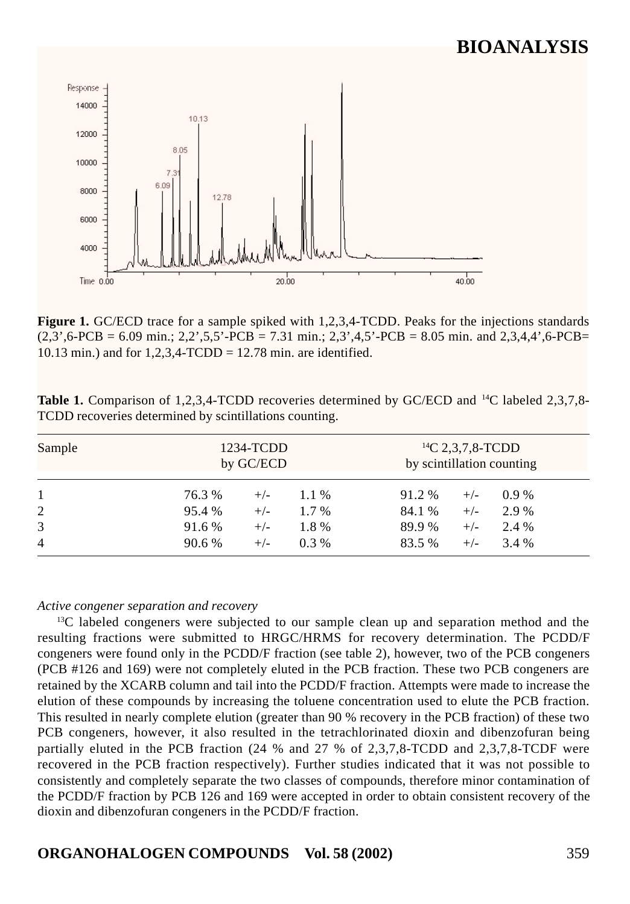

**Figure 1.** GC/ECD trace for a sample spiked with 1,2,3,4-TCDD. Peaks for the injections standards  $(2,3',6\text{-PCB} = 6.09 \text{ min.}; 2,2',5,5'\text{-PCB} = 7.31 \text{ min.}; 2,3',4,5'\text{-PCB} = 8.05 \text{ min.}$  and  $2,3,4,4',6\text{-PCB} =$ 10.13 min.) and for 1,2,3,4-TCDD = 12.78 min. are identified.

| <b>Table 1.</b> Comparison of 1,2,3,4-TCDD recoveries determined by GC/ECD and <sup>14</sup> C labeled 2,3,7,8- |  |  |  |
|-----------------------------------------------------------------------------------------------------------------|--|--|--|
| TCDD recoveries determined by scintillations counting.                                                          |  |  |  |

| Sample         | 1234-TCDD<br>by GC/ECD |       |         | <sup>14</sup> C 2,3,7,8-TCDD<br>by scintillation counting |       |         |  |
|----------------|------------------------|-------|---------|-----------------------------------------------------------|-------|---------|--|
| 1              | 76.3 %                 | $+/-$ | $1.1\%$ | 91.2 %                                                    | $+/-$ | $0.9\%$ |  |
| 2              | 95.4 %                 | $+/-$ | $1.7\%$ | 84.1 %                                                    | $+/-$ | 2.9 %   |  |
| 3              | 91.6 %                 | $+/-$ | 1.8%    | 89.9%                                                     | $+/-$ | 2.4 %   |  |
| $\overline{4}$ | 90.6 %                 | $+/-$ | $0.3\%$ | 83.5 %                                                    | $+/-$ | 3.4 %   |  |

#### *Active congener separation and recovery*

<sup>13</sup>C labeled congeners were subjected to our sample clean up and separation method and the resulting fractions were submitted to HRGC/HRMS for recovery determination. The PCDD/F congeners were found only in the PCDD/F fraction (see table 2), however, two of the PCB congeners (PCB #126 and 169) were not completely eluted in the PCB fraction. These two PCB congeners are retained by the XCARB column and tail into the PCDD/F fraction. Attempts were made to increase the elution of these compounds by increasing the toluene concentration used to elute the PCB fraction. This resulted in nearly complete elution (greater than 90 % recovery in the PCB fraction) of these two PCB congeners, however, it also resulted in the tetrachlorinated dioxin and dibenzofuran being partially eluted in the PCB fraction (24 % and 27 % of 2,3,7,8-TCDD and 2,3,7,8-TCDF were recovered in the PCB fraction respectively). Further studies indicated that it was not possible to consistently and completely separate the two classes of compounds, therefore minor contamination of the PCDD/F fraction by PCB 126 and 169 were accepted in order to obtain consistent recovery of the dioxin and dibenzofuran congeners in the PCDD/F fraction.